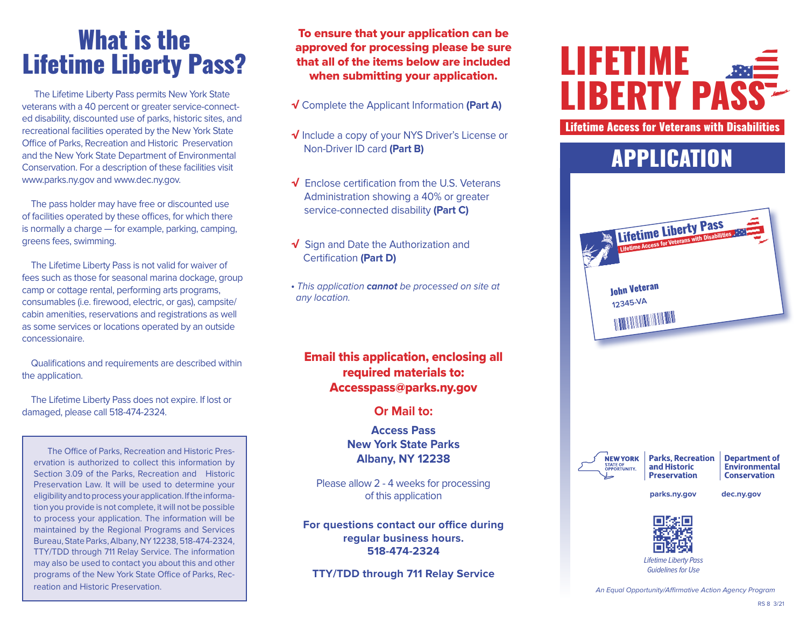# What is the Lifetime Liberty Pass?

 The Lifetime Liberty Pass permits New York State veterans with a 40 percent or greater service-connected disability, discounted use of parks, historic sites, and recreational facilities operated by the New York State Office of Parks, Recreation and Historic Preservation and the New York State Department of Environmental Conservation. For a description of these facilities visit www.parks.ny.gov and www.dec.ny.gov.

 The pass holder may have free or discounted use of facilities operated by these offices, for which there is normally a charge — for example, parking, camping, greens fees, swimming.

 The Lifetime Liberty Pass is not valid for waiver of fees such as those for seasonal marina dockage, group camp or cottage rental, performing arts programs, consumables (i.e. firewood, electric, or gas), campsite/ cabin amenities, reservations and registrations as well as some services or locations operated by an outside concessionaire.

 Qualifications and requirements are described within the application.

 The Lifetime Liberty Pass does not expire. If lost or damaged, please call 518-474-2324.

The Office of Parks, Recreation and Historic Preservation is authorized to collect this information by Section 3.09 of the Parks, Recreation and Historic Preservation Law. It will be used to determine your eligibility and to process your application. If the information you provide is not complete, it will not be possible to process your application. The information will be maintained by the Regional Programs and Services Bureau, State Parks, Albany, NY 12238, 518-474-2324, TTY/TDD through 711 Relay Service. The information may also be used to contact you about this and other programs of the New York State Office of Parks, Recreation and Historic Preservation.

To ensure that your application can be approved for processing please be sure that all of the items below are included when submitting your application.

- √ Complete the Applicant Information **(Part A)**
- √ Include a copy of your NYS Driver's License or Non-Driver ID card **(Part B)**
- √ Enclose certification from the U.S. Veterans Administration showing a 40% or greater service-connected disability **(Part C)**
- √ Sign and Date the Authorization and Certification **(Part D)**
- This application **cannot** be processed on site at any location.

### Email this application, enclosing all required materials to: Accesspass@parks.ny.gov

### **Or Mail to:**

**Access Pass New York State Parks Albany, NY 12238**

Please allow 2 - 4 weeks for processing of this application

**For questions contact our office during regular business hours. 518-474-2324**

**TTY/TDD through 711 Relay Service**

# LIFETIME **LIBERTY PA**

Lifetime Access for Veterans with Disabilities

## APPLICATION





**Parks, Recreation** and Historic **Preservation** 

**Department of** Environmental **Conservation** 

 **parks.ny.gov dec.ny.gov**



*Lifetime Liberty Pass Guidelines for Use*

An Equal Opportunity/Affirmative Action Agency Program